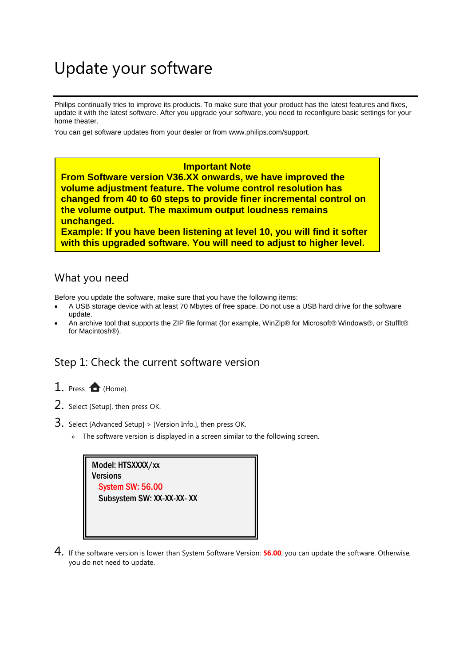# Update your software

Philips continually tries to improve its products. To make sure that your product has the latest features and fixes, update it with the latest software. After you upgrade your software, you need to reconfigure basic settings for your home theater.

You can get software updates from your dealer or from www.philips.com/support.

#### **Important Note**

**From Software version V36.XX onwards, we have improved the volume adjustment feature. The volume control resolution has changed from 40 to 60 steps to provide finer incremental control on the volume output. The maximum output loudness remains unchanged.**

**Example: If you have been listening at level 10, you will find it softer with this upgraded software. You will need to adjust to higher level.** 

### What you need

Before you update the software, make sure that you have the following items:

- A USB storage device with at least 70 Mbytes of free space. Do not use a USB hard drive for the software update.
- An archive tool that supports the ZIP file format (for example, WinZip® for Microsoft® Windows®, or Stufflt® for Macintosh®).

# Step 1: Check the current software version

- 1. Press  $\triangle$  (Home).
- 2. Select [Setup], then press OK.
- $3.$  Select [Advanced Setup] > [Version Info.], then press OK.
	- » The software version is displayed in a screen similar to the following screen.

| Model: HTSXXXX/xx<br><b>Versions</b><br><b>System SW: 56.00</b> |
|-----------------------------------------------------------------|
| Subsystem SW: XX-XX-XX-XX                                       |

4. If the software version is lower than System Software Version: **56.00**, you can update the software. Otherwise, you do not need to update.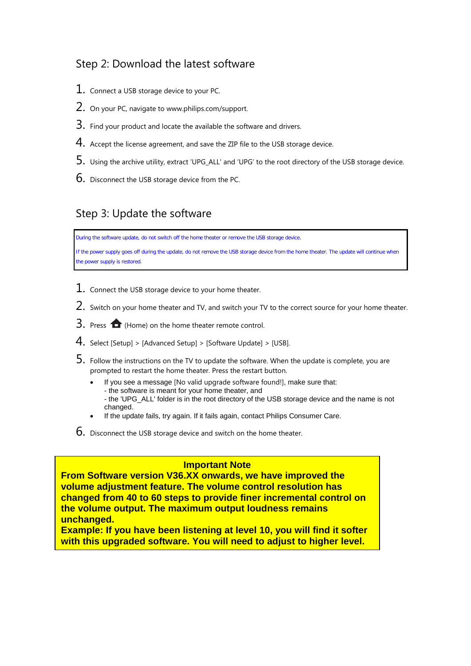## Step 2: Download the latest software

- $1.$  Connect a USB storage device to your PC.
- 2. On your PC, navigate to www.philips.com/support.
- $3.$  Find your product and locate the available the software and drivers.
- $4.$  Accept the license agreement, and save the ZIP file to the USB storage device.
- 5. Using the archive utility, extract 'UPG\_ALL' and 'UPG' to the root directory of the USB storage device.
- $6.$  Disconnect the USB storage device from the PC.

# Step 3: Update the software

During the software update, do not switch off the home theater or remove the USB storage device.

If the power supply goes off during the update, do not remove the USB storage device from the home theater. The update will continue when the power supply is restored.

- $1.$  Connect the USB storage device to your home theater.
- 2. Switch on your home theater and TV, and switch your TV to the correct source for your home theater.
- $3.$  Press  $\bigoplus$  (Home) on the home theater remote control.
- 4. Select [Setup] > [Advanced Setup] > [Software Update] > [USB].
- $5.$  Follow the instructions on the TV to update the software. When the update is complete, you are prompted to restart the home theater. Press the restart button.
	- If you see a message [No valid upgrade software found!], make sure that:
	- the software is meant for your home theater, and
	- the 'UPG\_ALL' folder is in the root directory of the USB storage device and the name is not changed.
	- If the update fails, try again. If it fails again, contact Philips Consumer Care.
- 6. Disconnect the USB storage device and switch on the home theater.

#### **Important Note**

**From Software version V36.XX onwards, we have improved the volume adjustment feature. The volume control resolution has changed from 40 to 60 steps to provide finer incremental control on the volume output. The maximum output loudness remains unchanged.**

**Example: If you have been listening at level 10, you will find it softer with this upgraded software. You will need to adjust to higher level.**